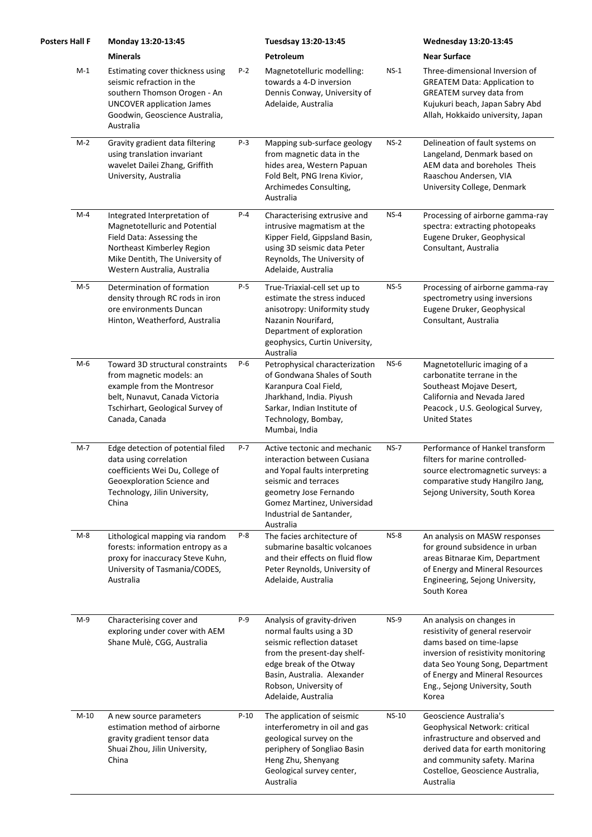| <b>Posters Hall F</b> | Monday 13:20-13:45                                                                                                                                                                          |        | Tuesdsay 13:20-13:45                                                                                                                                                                                                          |              | <b>Wednesday 13:20-13:45</b>                                                                                                                                                                                                                      |
|-----------------------|---------------------------------------------------------------------------------------------------------------------------------------------------------------------------------------------|--------|-------------------------------------------------------------------------------------------------------------------------------------------------------------------------------------------------------------------------------|--------------|---------------------------------------------------------------------------------------------------------------------------------------------------------------------------------------------------------------------------------------------------|
|                       | <b>Minerals</b>                                                                                                                                                                             |        | Petroleum                                                                                                                                                                                                                     |              | <b>Near Surface</b>                                                                                                                                                                                                                               |
| $M-1$                 | Estimating cover thickness using<br>seismic refraction in the<br>southern Thomson Orogen - An<br><b>UNCOVER application James</b><br>Goodwin, Geoscience Australia,<br>Australia            | $P-2$  | Magnetotelluric modelling:<br>towards a 4-D inversion<br>Dennis Conway, University of<br>Adelaide, Australia                                                                                                                  | $NS-1$       | Three-dimensional Inversion of<br><b>GREATEM Data: Application to</b><br>GREATEM survey data from<br>Kujukuri beach, Japan Sabry Abd<br>Allah, Hokkaido university, Japan                                                                         |
| $M-2$                 | Gravity gradient data filtering<br>using translation invariant<br>wavelet Dailei Zhang, Griffith<br>University, Australia                                                                   | P-3    | Mapping sub-surface geology<br>from magnetic data in the<br>hides area, Western Papuan<br>Fold Belt, PNG Irena Kivior,<br>Archimedes Consulting,<br>Australia                                                                 | $NS-2$       | Delineation of fault systems on<br>Langeland, Denmark based on<br>AEM data and boreholes Theis<br>Raaschou Andersen, VIA<br>University College, Denmark                                                                                           |
| $M-4$                 | Integrated Interpretation of<br>Magnetotelluric and Potential<br>Field Data: Assessing the<br>Northeast Kimberley Region<br>Mike Dentith, The University of<br>Western Australia, Australia | P-4    | Characterising extrusive and<br>intrusive magmatism at the<br>Kipper Field, Gippsland Basin,<br>using 3D seismic data Peter<br>Reynolds, The University of<br>Adelaide, Australia                                             | $NS-4$       | Processing of airborne gamma-ray<br>spectra: extracting photopeaks<br>Eugene Druker, Geophysical<br>Consultant, Australia                                                                                                                         |
| $M-5$                 | Determination of formation<br>density through RC rods in iron<br>ore environments Duncan<br>Hinton, Weatherford, Australia                                                                  | P-5    | True-Triaxial-cell set up to<br>estimate the stress induced<br>anisotropy: Uniformity study<br>Nazanin Nourifard,<br>Department of exploration<br>geophysics, Curtin University,<br>Australia                                 | $NS-5$       | Processing of airborne gamma-ray<br>spectrometry using inversions<br>Eugene Druker, Geophysical<br>Consultant, Australia                                                                                                                          |
| $M-6$                 | Toward 3D structural constraints<br>from magnetic models: an<br>example from the Montresor<br>belt, Nunavut, Canada Victoria<br>Tschirhart, Geological Survey of<br>Canada, Canada          | P-6    | Petrophysical characterization<br>of Gondwana Shales of South<br>Karanpura Coal Field,<br>Jharkhand, India. Piyush<br>Sarkar, Indian Institute of<br>Technology, Bombay,<br>Mumbai, India                                     | $NS-6$       | Magnetotelluric imaging of a<br>carbonatite terrane in the<br>Southeast Mojave Desert,<br>California and Nevada Jared<br>Peacock, U.S. Geological Survey,<br><b>United States</b>                                                                 |
| $M-7$                 | Edge detection of potential filed<br>data using correlation<br>coefficients Wei Du, College of<br>Geoexploration Science and<br>Technology, Jilin University,<br>China                      | P-7    | Active tectonic and mechanic<br>interaction between Cusiana<br>and Yopal faults interpreting<br>seismic and terraces<br>geometry Jose Fernando<br>Gomez Martinez, Universidad<br>Industrial de Santander,<br>Australia        | $NS-7$       | Performance of Hankel transform<br>filters for marine controlled-<br>source electromagnetic surveys: a<br>comparative study Hangilro Jang,<br>Sejong University, South Korea                                                                      |
| $M-8$                 | Lithological mapping via random<br>forests: information entropy as a<br>proxy for inaccuracy Steve Kuhn,<br>University of Tasmania/CODES,<br>Australia                                      | $P-8$  | The facies architecture of<br>submarine basaltic volcanoes<br>and their effects on fluid flow<br>Peter Reynolds, University of<br>Adelaide, Australia                                                                         | $NS-8$       | An analysis on MASW responses<br>for ground subsidence in urban<br>areas Bitnarae Kim, Department<br>of Energy and Mineral Resources<br>Engineering, Sejong University,<br>South Korea                                                            |
| $M-9$                 | Characterising cover and<br>exploring under cover with AEM<br>Shane Mulè, CGG, Australia                                                                                                    | P-9    | Analysis of gravity-driven<br>normal faults using a 3D<br>seismic reflection dataset<br>from the present-day shelf-<br>edge break of the Otway<br>Basin, Australia. Alexander<br>Robson, University of<br>Adelaide, Australia | $NS-9$       | An analysis on changes in<br>resistivity of general reservoir<br>dams based on time-lapse<br>inversion of resistivity monitoring<br>data Seo Young Song, Department<br>of Energy and Mineral Resources<br>Eng., Sejong University, South<br>Korea |
| $M-10$                | A new source parameters<br>estimation method of airborne<br>gravity gradient tensor data<br>Shuai Zhou, Jilin University,<br>China                                                          | $P-10$ | The application of seismic<br>interferometry in oil and gas<br>geological survey on the<br>periphery of Songliao Basin<br>Heng Zhu, Shenyang<br>Geological survey center,<br>Australia                                        | <b>NS-10</b> | Geoscience Australia's<br>Geophysical Network: critical<br>infrastructure and observed and<br>derived data for earth monitoring<br>and community safety. Marina<br>Costelloe, Geoscience Australia,<br>Australia                                  |